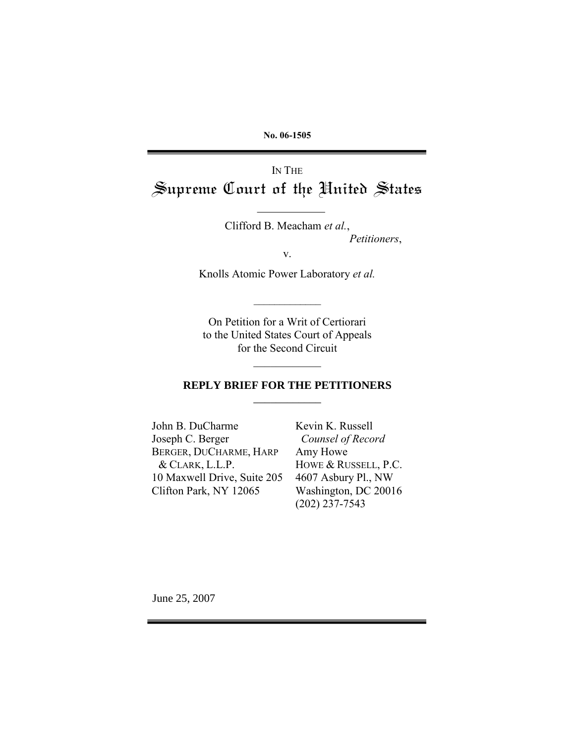**No. 06-1505**

# IN THE *Supreme Court of the United States*

Clifford B. Meacham *et al.*, *Petitioners*,

v.

Knolls Atomic Power Laboratory *et al.*

 $\mathcal{L}_\text{max}$ 

On Petition for a Writ of Certiorari to the United States Court of Appeals for the Second Circuit

### **REPLY BRIEF FOR THE PETITIONERS** \_\_\_\_\_\_\_\_\_\_\_\_

 $\mathcal{L}_\text{max}$ 

John B. DuCharme Joseph C. Berger BERGER, DUCHARME, HARP & CLARK, L.L.P. 10 Maxwell Drive, Suite 205 Clifton Park, NY 12065

Kevin K. Russell *Counsel of Record* Amy Howe HOWE & RUSSELL, P.C. 4607 Asbury Pl., NW Washington, DC 20016 (202) 237-7543

June 25, 2007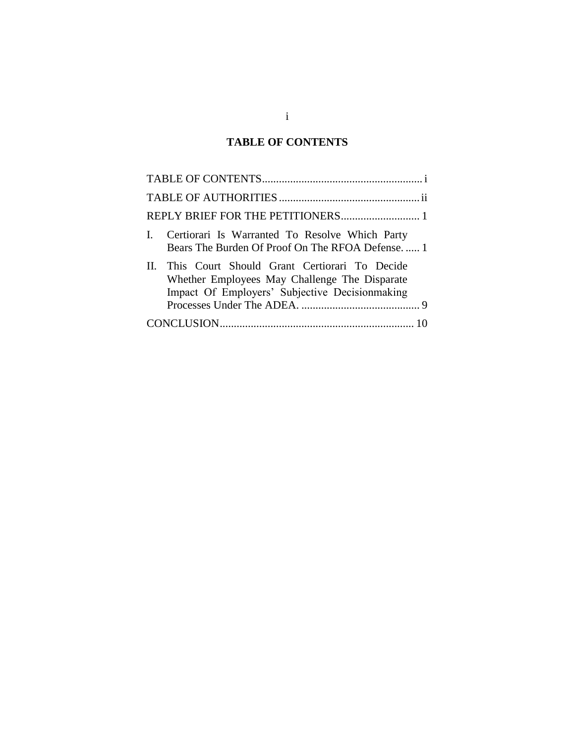## **TABLE OF CONTENTS**

<span id="page-1-0"></span>

| Certiorari Is Warranted To Resolve Which Party<br>Bears The Burden Of Proof On The RFOA Defense 1                                                    |
|------------------------------------------------------------------------------------------------------------------------------------------------------|
| II. This Court Should Grant Certiorari To Decide<br>Whether Employees May Challenge The Disparate<br>Impact Of Employers' Subjective Decision making |
|                                                                                                                                                      |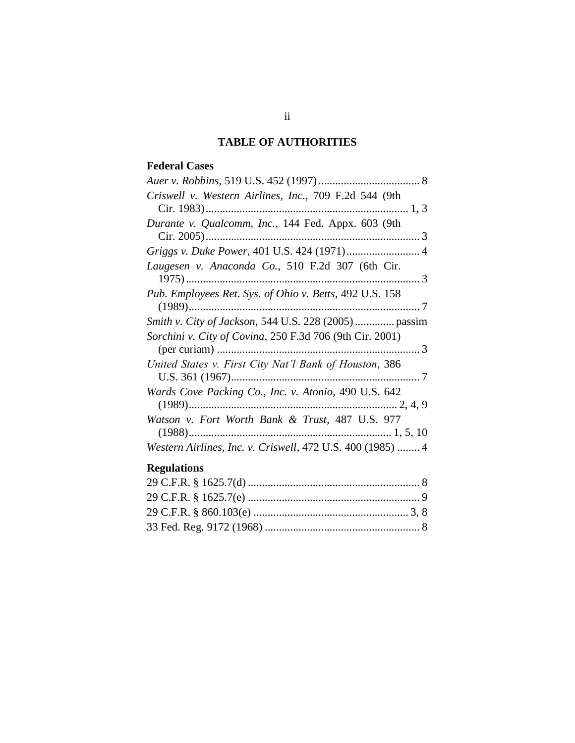### **TABLE OF AUTHORITIES**

### <span id="page-2-0"></span>**Federal Cases**

| Criswell v. Western Airlines, Inc., 709 F.2d 544 (9th                    |
|--------------------------------------------------------------------------|
| Durante v. Qualcomm, Inc., 144 Fed. Appx. 603 (9th                       |
|                                                                          |
| Laugesen v. Anaconda Co., 510 F.2d 307 (6th Cir.                         |
| Pub. Employees Ret. Sys. of Ohio v. Betts, 492 U.S. 158                  |
| <i>Smith v. City of Jackson, 544 U.S. 228 (2005)</i> passim              |
| Sorchini v. City of Covina, 250 F.3d 706 (9th Cir. 2001)                 |
| United States v. First City Nat'l Bank of Houston, 386                   |
| Wards Cove Packing Co., Inc. v. Atonio, 490 U.S. 642<br>$\ldots$ 2, 4, 9 |
| Watson v. Fort Worth Bank & Trust, 487 U.S. 977                          |
| Western Airlines, Inc. v. Criswell, 472 U.S. 400 (1985)  4               |

## **Regulations**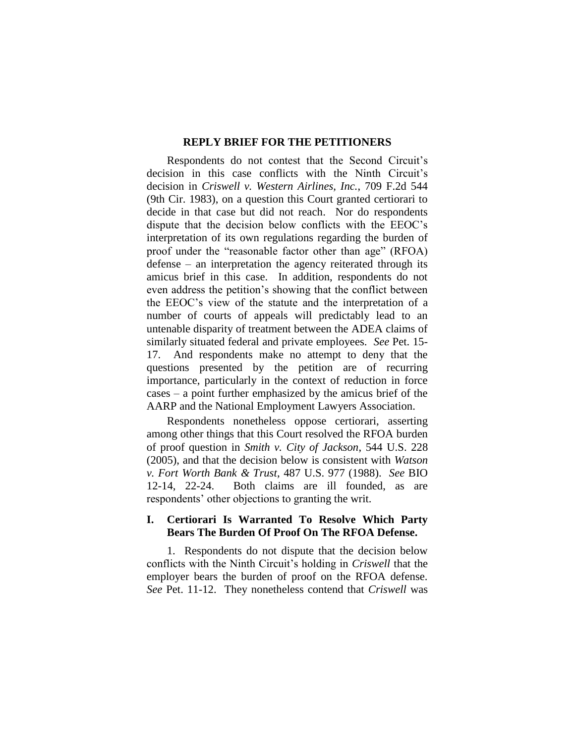#### **REPLY BRIEF FOR THE PETITIONERS**

<span id="page-3-0"></span>Respondents do not contest that the Second Circuit"s decision in this case conflicts with the Ninth Circuit's decision in *Criswell v. Western Airlines, Inc.*, 709 F.2d 544 (9th Cir. 1983), on a question this Court granted certiorari to decide in that case but did not reach. Nor do respondents dispute that the decision below conflicts with the EEOC"s interpretation of its own regulations regarding the burden of proof under the "reasonable factor other than age" (RFOA) defense – an interpretation the agency reiterated through its amicus brief in this case. In addition, respondents do not even address the petition"s showing that the conflict between the EEOC"s view of the statute and the interpretation of a number of courts of appeals will predictably lead to an untenable disparity of treatment between the ADEA claims of similarly situated federal and private employees. *See* Pet. 15- 17. And respondents make no attempt to deny that the questions presented by the petition are of recurring importance, particularly in the context of reduction in force cases – a point further emphasized by the amicus brief of the AARP and the National Employment Lawyers Association.

Respondents nonetheless oppose certiorari, asserting among other things that this Court resolved the RFOA burden of proof question in *Smith v. City of Jackson*, 544 U.S. 228 (2005), and that the decision below is consistent with *Watson v. Fort Worth Bank & Trust*, 487 U.S. 977 (1988). *See* BIO 12-14, 22-24. Both claims are ill founded, as are respondents' other objections to granting the writ.

### <span id="page-3-1"></span>**I. Certiorari Is Warranted To Resolve Which Party Bears The Burden Of Proof On The RFOA Defense.**

1. Respondents do not dispute that the decision below conflicts with the Ninth Circuit"s holding in *Criswell* that the employer bears the burden of proof on the RFOA defense. *See* Pet. 11-12. They nonetheless contend that *Criswell* was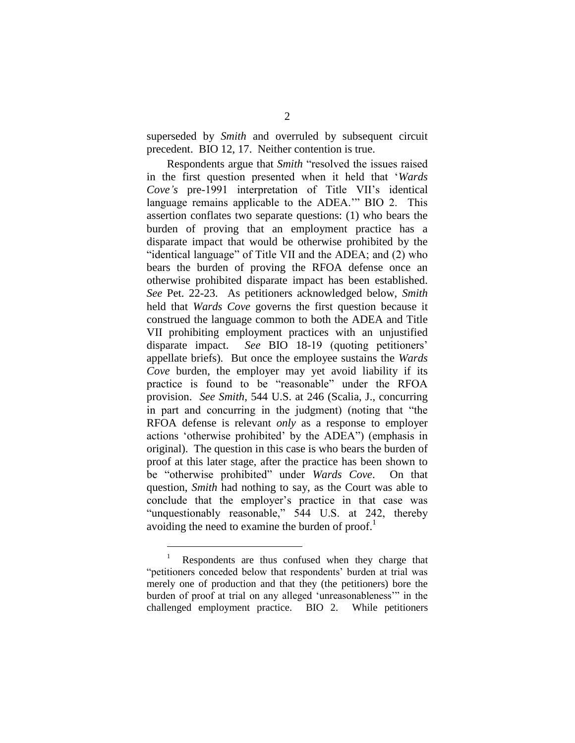superseded by *Smith* and overruled by subsequent circuit precedent. BIO 12, 17. Neither contention is true.

Respondents argue that *Smith* "resolved the issues raised in the first question presented when it held that "*Wards Cove's* pre-1991 interpretation of Title VII's identical language remains applicable to the ADEA."" BIO 2. This assertion conflates two separate questions: (1) who bears the burden of proving that an employment practice has a disparate impact that would be otherwise prohibited by the "identical language" of Title VII and the ADEA; and (2) who bears the burden of proving the RFOA defense once an otherwise prohibited disparate impact has been established. *See* Pet. 22-23. As petitioners acknowledged below, *Smith* held that *Wards Cove* governs the first question because it construed the language common to both the ADEA and Title VII prohibiting employment practices with an unjustified disparate impact. *See* BIO 18-19 (quoting petitioners' appellate briefs). But once the employee sustains the *Wards Cove* burden, the employer may yet avoid liability if its practice is found to be "reasonable" under the RFOA provision. *See Smith*, 544 U.S. at 246 (Scalia, J., concurring in part and concurring in the judgment) (noting that "the RFOA defense is relevant *only* as a response to employer actions "otherwise prohibited" by the ADEA") (emphasis in original). The question in this case is who bears the burden of proof at this later stage, after the practice has been shown to be "otherwise prohibited" under *Wards Cove*. On that question, *Smith* had nothing to say, as the Court was able to conclude that the employer"s practice in that case was "unquestionably reasonable," 544 U.S. at 242, thereby avoiding the need to examine the burden of proof.<sup>1</sup>

<sup>1</sup> Respondents are thus confused when they charge that "petitioners conceded below that respondents" burden at trial was merely one of production and that they (the petitioners) bore the burden of proof at trial on any alleged "unreasonableness"" in the challenged employment practice. BIO 2. While petitioners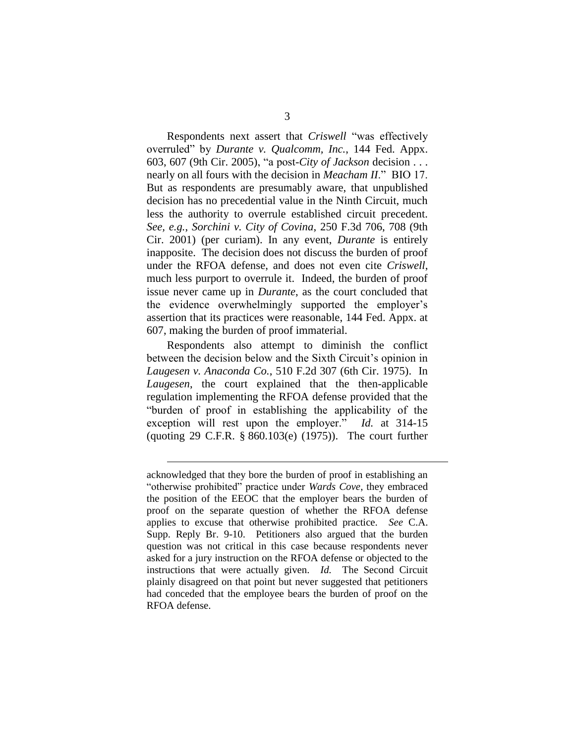Respondents next assert that *Criswell* "was effectively overruled" by *Durante v. Qualcomm, Inc.*, 144 Fed. Appx. 603, 607 (9th Cir. 2005), "a post-*City of Jackson* decision . . . nearly on all fours with the decision in *Meacham II*." BIO 17. But as respondents are presumably aware, that unpublished decision has no precedential value in the Ninth Circuit, much less the authority to overrule established circuit precedent. *See, e.g.*, *Sorchini v. City of Covina*, 250 F.3d 706, 708 (9th Cir. 2001) (per curiam). In any event, *Durante* is entirely inapposite. The decision does not discuss the burden of proof under the RFOA defense, and does not even cite *Criswell*, much less purport to overrule it. Indeed, the burden of proof issue never came up in *Durante*, as the court concluded that the evidence overwhelmingly supported the employer's assertion that its practices were reasonable, 144 Fed. Appx. at 607, making the burden of proof immaterial.

Respondents also attempt to diminish the conflict between the decision below and the Sixth Circuit's opinion in *Laugesen v. Anaconda Co.*, 510 F.2d 307 (6th Cir. 1975). In *Laugesen*, the court explained that the then-applicable regulation implementing the RFOA defense provided that the "burden of proof in establishing the applicability of the exception will rest upon the employer." *Id.* at 314-15 (quoting 29 C.F.R. § 860.103(e) (1975)). The court further

acknowledged that they bore the burden of proof in establishing an "otherwise prohibited" practice under *Wards Cove*, they embraced the position of the EEOC that the employer bears the burden of proof on the separate question of whether the RFOA defense applies to excuse that otherwise prohibited practice. *See* C.A. Supp. Reply Br. 9-10. Petitioners also argued that the burden question was not critical in this case because respondents never asked for a jury instruction on the RFOA defense or objected to the instructions that were actually given. *Id.* The Second Circuit plainly disagreed on that point but never suggested that petitioners had conceded that the employee bears the burden of proof on the RFOA defense.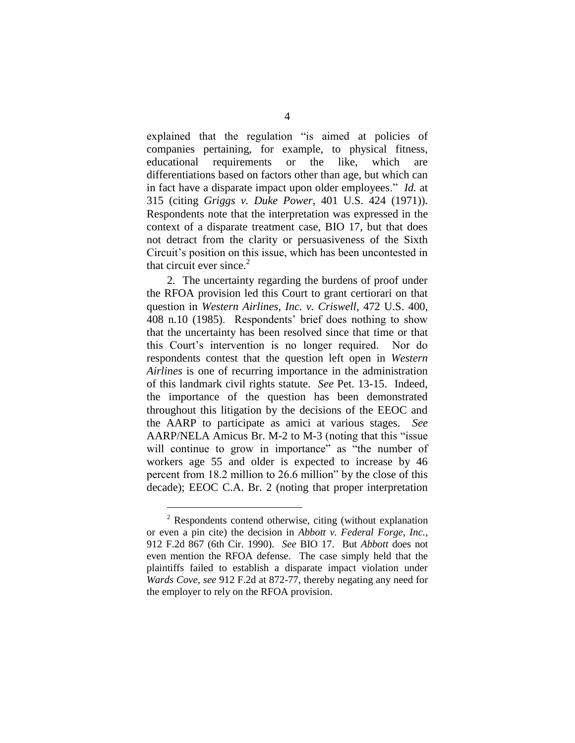explained that the regulation "is aimed at policies of companies pertaining, for example, to physical fitness, educational requirements or the like, which are differentiations based on factors other than age, but which can in fact have a disparate impact upon older employees." *Id.* at 315 (citing *Griggs v. Duke Power*, 401 U.S. 424 (1971)). Respondents note that the interpretation was expressed in the context of a disparate treatment case, BIO 17, but that does not detract from the clarity or persuasiveness of the Sixth Circuit's position on this issue, which has been uncontested in that circuit ever since.<sup>2</sup>

2. The uncertainty regarding the burdens of proof under the RFOA provision led this Court to grant certiorari on that question in *Western Airlines, Inc. v. Criswell*, 472 U.S. 400, 408 n.10 (1985). Respondents" brief does nothing to show that the uncertainty has been resolved since that time or that this Court"s intervention is no longer required. Nor do respondents contest that the question left open in *Western Airlines* is one of recurring importance in the administration of this landmark civil rights statute. *See* Pet. 13-15. Indeed, the importance of the question has been demonstrated throughout this litigation by the decisions of the EEOC and the AARP to participate as amici at various stages. *See* AARP/NELA Amicus Br. M-2 to M-3 (noting that this "issue will continue to grow in importance" as "the number of workers age 55 and older is expected to increase by 46 percent from 18.2 million to 26.6 million" by the close of this decade); EEOC C.A. Br. 2 (noting that proper interpretation

<sup>&</sup>lt;sup>2</sup> Respondents contend otherwise, citing (without explanation or even a pin cite) the decision in *Abbott v. Federal Forge, Inc.*, 912 F.2d 867 (6th Cir. 1990). *See* BIO 17. But *Abbott* does not even mention the RFOA defense. The case simply held that the plaintiffs failed to establish a disparate impact violation under *Wards Cove*, *see* 912 F.2d at 872-77, thereby negating any need for the employer to rely on the RFOA provision.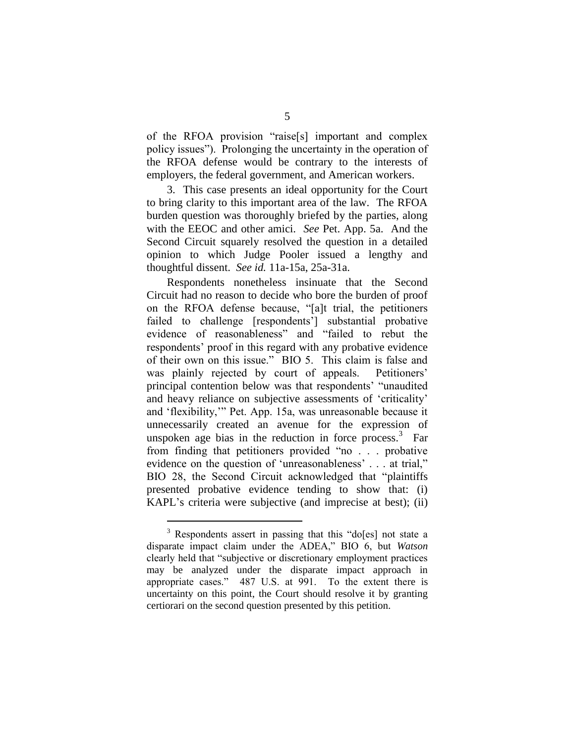of the RFOA provision "raise[s] important and complex policy issues"). Prolonging the uncertainty in the operation of the RFOA defense would be contrary to the interests of employers, the federal government, and American workers.

3. This case presents an ideal opportunity for the Court to bring clarity to this important area of the law. The RFOA burden question was thoroughly briefed by the parties, along with the EEOC and other amici. *See* Pet. App. 5a. And the Second Circuit squarely resolved the question in a detailed opinion to which Judge Pooler issued a lengthy and thoughtful dissent. *See id.* 11a-15a, 25a-31a.

Respondents nonetheless insinuate that the Second Circuit had no reason to decide who bore the burden of proof on the RFOA defense because, "[a]t trial, the petitioners failed to challenge [respondents'] substantial probative evidence of reasonableness" and "failed to rebut the respondents' proof in this regard with any probative evidence of their own on this issue." BIO 5. This claim is false and was plainly rejected by court of appeals. Petitioners' principal contention below was that respondents" "unaudited and heavy reliance on subjective assessments of "criticality" and "flexibility,"" Pet. App. 15a, was unreasonable because it unnecessarily created an avenue for the expression of unspoken age bias in the reduction in force process. $3$  Far from finding that petitioners provided "no . . . probative evidence on the question of 'unreasonableness' . . . at trial," BIO 28, the Second Circuit acknowledged that "plaintiffs presented probative evidence tending to show that: (i) KAPL's criteria were subjective (and imprecise at best); (ii)

<sup>&</sup>lt;sup>3</sup> Respondents assert in passing that this "do[es] not state a disparate impact claim under the ADEA," BIO 6, but *Watson* clearly held that "subjective or discretionary employment practices may be analyzed under the disparate impact approach in appropriate cases." 487 U.S. at 991. To the extent there is uncertainty on this point, the Court should resolve it by granting certiorari on the second question presented by this petition.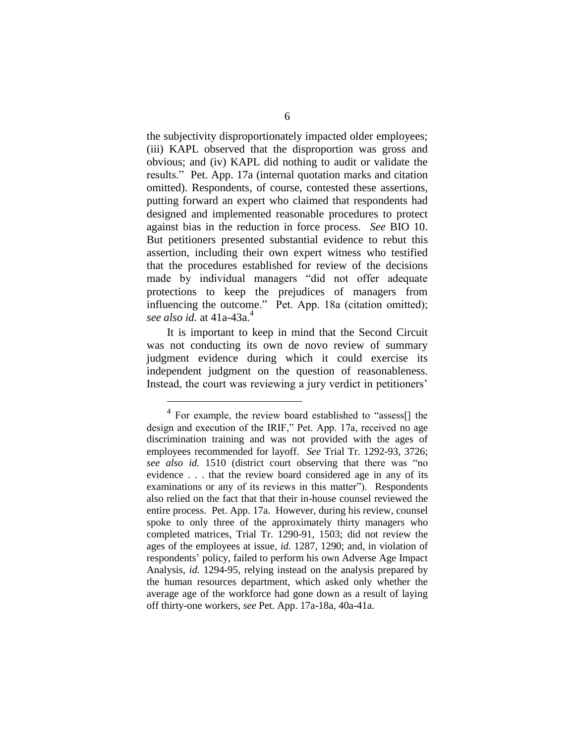the subjectivity disproportionately impacted older employees; (iii) KAPL observed that the disproportion was gross and obvious; and (iv) KAPL did nothing to audit or validate the results." Pet. App. 17a (internal quotation marks and citation omitted). Respondents, of course, contested these assertions, putting forward an expert who claimed that respondents had designed and implemented reasonable procedures to protect against bias in the reduction in force process. *See* BIO 10. But petitioners presented substantial evidence to rebut this assertion, including their own expert witness who testified that the procedures established for review of the decisions made by individual managers "did not offer adequate protections to keep the prejudices of managers from influencing the outcome." Pet. App. 18a (citation omitted); *see also id.* at 41a-43a.<sup>4</sup>

It is important to keep in mind that the Second Circuit was not conducting its own de novo review of summary judgment evidence during which it could exercise its independent judgment on the question of reasonableness. Instead, the court was reviewing a jury verdict in petitioners'

<sup>&</sup>lt;sup>4</sup> For example, the review board established to "assess<sup>[]</sup> the design and execution of the IRIF," Pet. App. 17a, received no age discrimination training and was not provided with the ages of employees recommended for layoff. *See* Trial Tr. 1292-93, 3726; *see also id.* 1510 (district court observing that there was "no evidence . . . that the review board considered age in any of its examinations or any of its reviews in this matter"). Respondents also relied on the fact that that their in-house counsel reviewed the entire process. Pet. App. 17a. However, during his review, counsel spoke to only three of the approximately thirty managers who completed matrices, Trial Tr. 1290-91, 1503; did not review the ages of the employees at issue, *id.* 1287, 1290; and, in violation of respondents' policy, failed to perform his own Adverse Age Impact Analysis, *id.* 1294-95, relying instead on the analysis prepared by the human resources department, which asked only whether the average age of the workforce had gone down as a result of laying off thirty-one workers, *see* Pet. App. 17a-18a, 40a-41a.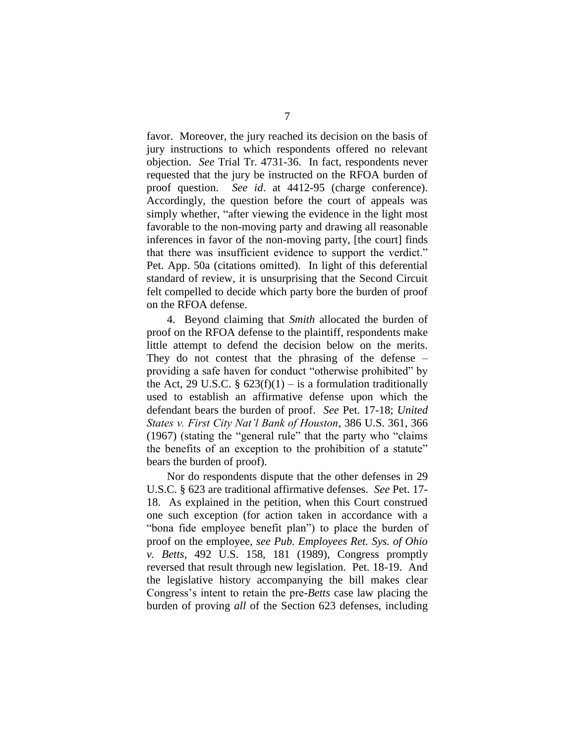favor. Moreover, the jury reached its decision on the basis of jury instructions to which respondents offered no relevant objection. *See* Trial Tr. 4731-36. In fact, respondents never requested that the jury be instructed on the RFOA burden of proof question. *See id*. at 4412-95 (charge conference). Accordingly, the question before the court of appeals was simply whether, "after viewing the evidence in the light most favorable to the non-moving party and drawing all reasonable inferences in favor of the non-moving party, [the court] finds that there was insufficient evidence to support the verdict." Pet. App. 50a (citations omitted). In light of this deferential standard of review, it is unsurprising that the Second Circuit felt compelled to decide which party bore the burden of proof on the RFOA defense.

4. Beyond claiming that *Smith* allocated the burden of proof on the RFOA defense to the plaintiff, respondents make little attempt to defend the decision below on the merits. They do not contest that the phrasing of the defense – providing a safe haven for conduct "otherwise prohibited" by the Act, 29 U.S.C. §  $623(f)(1) - is$  a formulation traditionally used to establish an affirmative defense upon which the defendant bears the burden of proof. *See* Pet. 17-18; *United States v. First City Nat'l Bank of Houston*, 386 U.S. 361, 366 (1967) (stating the "general rule" that the party who "claims the benefits of an exception to the prohibition of a statute" bears the burden of proof).

Nor do respondents dispute that the other defenses in 29 U.S.C. § 623 are traditional affirmative defenses. *See* Pet. 17- 18. As explained in the petition, when this Court construed one such exception (for action taken in accordance with a "bona fide employee benefit plan") to place the burden of proof on the employee, *see Pub. Employees Ret. Sys. of Ohio v. Betts*, 492 U.S. 158, 181 (1989), Congress promptly reversed that result through new legislation. Pet. 18-19. And the legislative history accompanying the bill makes clear Congress"s intent to retain the pre-*Betts* case law placing the burden of proving *all* of the Section 623 defenses, including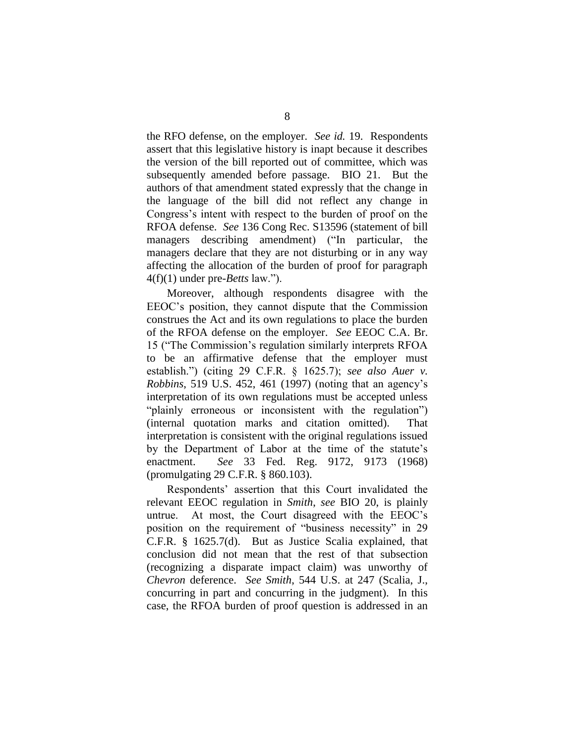the RFO defense, on the employer. *See id.* 19. Respondents assert that this legislative history is inapt because it describes the version of the bill reported out of committee, which was subsequently amended before passage. BIO 21. But the authors of that amendment stated expressly that the change in the language of the bill did not reflect any change in Congress"s intent with respect to the burden of proof on the RFOA defense. *See* 136 Cong Rec. S13596 (statement of bill managers describing amendment) ("In particular, the managers declare that they are not disturbing or in any way affecting the allocation of the burden of proof for paragraph 4(f)(1) under pre-*Betts* law.").

Moreover, although respondents disagree with the EEOC"s position, they cannot dispute that the Commission construes the Act and its own regulations to place the burden of the RFOA defense on the employer. *See* EEOC C.A. Br. 15 ("The Commission"s regulation similarly interprets RFOA to be an affirmative defense that the employer must establish.") (citing 29 C.F.R. § 1625.7); *see also Auer v. Robbins*, 519 U.S. 452, 461 (1997) (noting that an agency"s interpretation of its own regulations must be accepted unless "plainly erroneous or inconsistent with the regulation") (internal quotation marks and citation omitted). That interpretation is consistent with the original regulations issued by the Department of Labor at the time of the statute"s enactment. *See* 33 Fed. Reg. 9172, 9173 (1968) (promulgating 29 C.F.R. § 860.103).

Respondents" assertion that this Court invalidated the relevant EEOC regulation in *Smith*, *see* BIO 20, is plainly untrue. At most, the Court disagreed with the EEOC"s position on the requirement of "business necessity" in 29 C.F.R. § 1625.7(d). But as Justice Scalia explained, that conclusion did not mean that the rest of that subsection (recognizing a disparate impact claim) was unworthy of *Chevron* deference. *See Smith*, 544 U.S. at 247 (Scalia, J., concurring in part and concurring in the judgment). In this case, the RFOA burden of proof question is addressed in an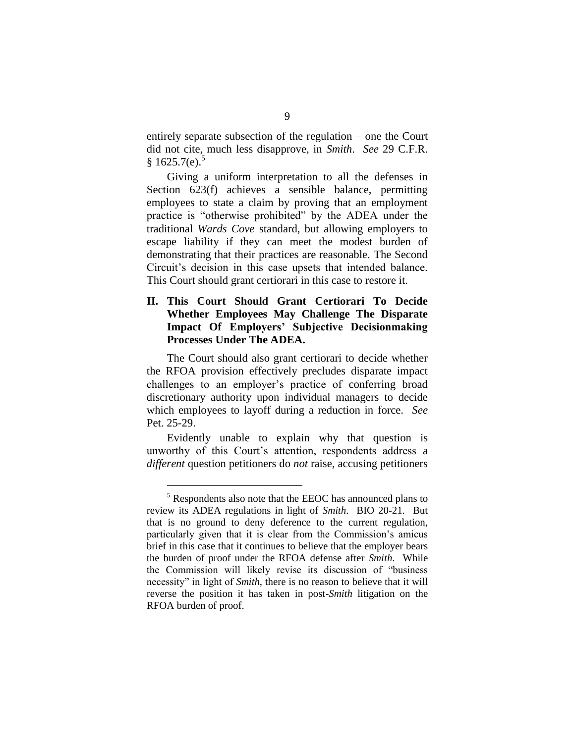entirely separate subsection of the regulation – one the Court did not cite, much less disapprove, in *Smith*. *See* 29 C.F.R.  $$1625.7(e).$ <sup>5</sup>

Giving a uniform interpretation to all the defenses in Section 623(f) achieves a sensible balance, permitting employees to state a claim by proving that an employment practice is "otherwise prohibited" by the ADEA under the traditional *Wards Cove* standard, but allowing employers to escape liability if they can meet the modest burden of demonstrating that their practices are reasonable. The Second Circuit"s decision in this case upsets that intended balance. This Court should grant certiorari in this case to restore it.

### <span id="page-11-0"></span>**II. This Court Should Grant Certiorari To Decide Whether Employees May Challenge The Disparate Impact Of Employers' Subjective Decisionmaking Processes Under The ADEA.**

The Court should also grant certiorari to decide whether the RFOA provision effectively precludes disparate impact challenges to an employer's practice of conferring broad discretionary authority upon individual managers to decide which employees to layoff during a reduction in force. *See*  Pet. 25-29.

Evidently unable to explain why that question is unworthy of this Court's attention, respondents address a *different* question petitioners do *not* raise, accusing petitioners

<sup>5</sup> Respondents also note that the EEOC has announced plans to review its ADEA regulations in light of *Smith*. BIO 20-21. But that is no ground to deny deference to the current regulation, particularly given that it is clear from the Commission"s amicus brief in this case that it continues to believe that the employer bears the burden of proof under the RFOA defense after *Smith*. While the Commission will likely revise its discussion of "business necessity" in light of *Smith*, there is no reason to believe that it will reverse the position it has taken in post-*Smith* litigation on the RFOA burden of proof.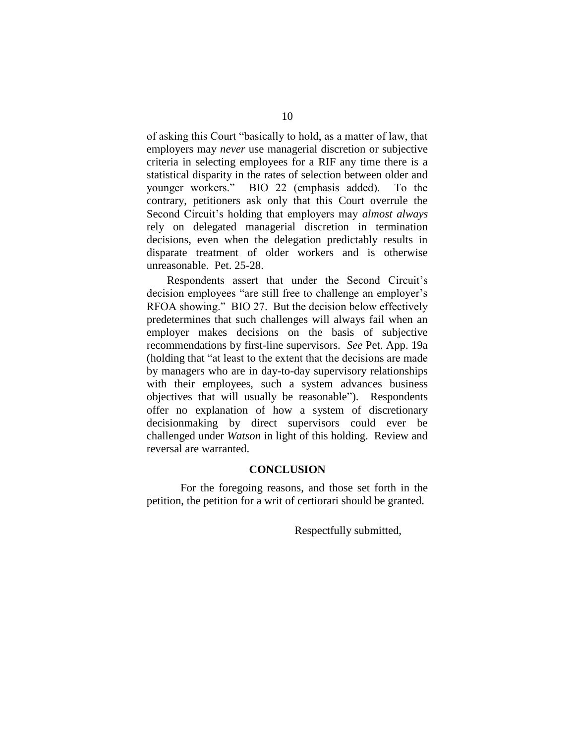of asking this Court "basically to hold, as a matter of law, that employers may *never* use managerial discretion or subjective criteria in selecting employees for a RIF any time there is a statistical disparity in the rates of selection between older and younger workers." BIO 22 (emphasis added). To the contrary, petitioners ask only that this Court overrule the Second Circuit"s holding that employers may *almost always* rely on delegated managerial discretion in termination decisions, even when the delegation predictably results in disparate treatment of older workers and is otherwise unreasonable. Pet. 25-28.

Respondents assert that under the Second Circuit's decision employees "are still free to challenge an employer's RFOA showing." BIO 27. But the decision below effectively predetermines that such challenges will always fail when an employer makes decisions on the basis of subjective recommendations by first-line supervisors. *See* Pet. App. 19a (holding that "at least to the extent that the decisions are made by managers who are in day-to-day supervisory relationships with their employees, such a system advances business objectives that will usually be reasonable"). Respondents offer no explanation of how a system of discretionary decisionmaking by direct supervisors could ever be challenged under *Watson* in light of this holding. Review and reversal are warranted.

### **CONCLUSION**

<span id="page-12-0"></span>For the foregoing reasons, and those set forth in the petition, the petition for a writ of certiorari should be granted.

Respectfully submitted,